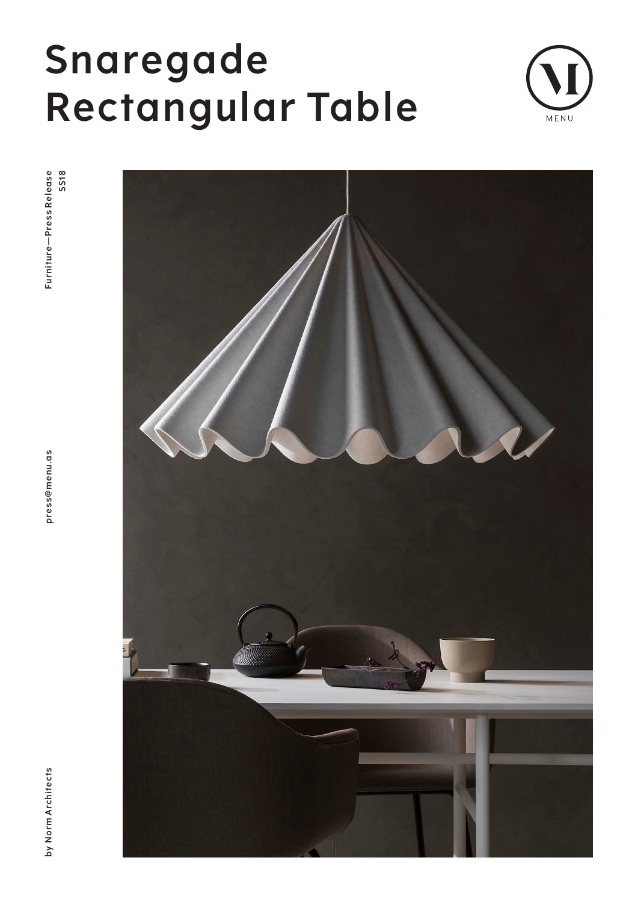# **Snaregade Rectangular Table**



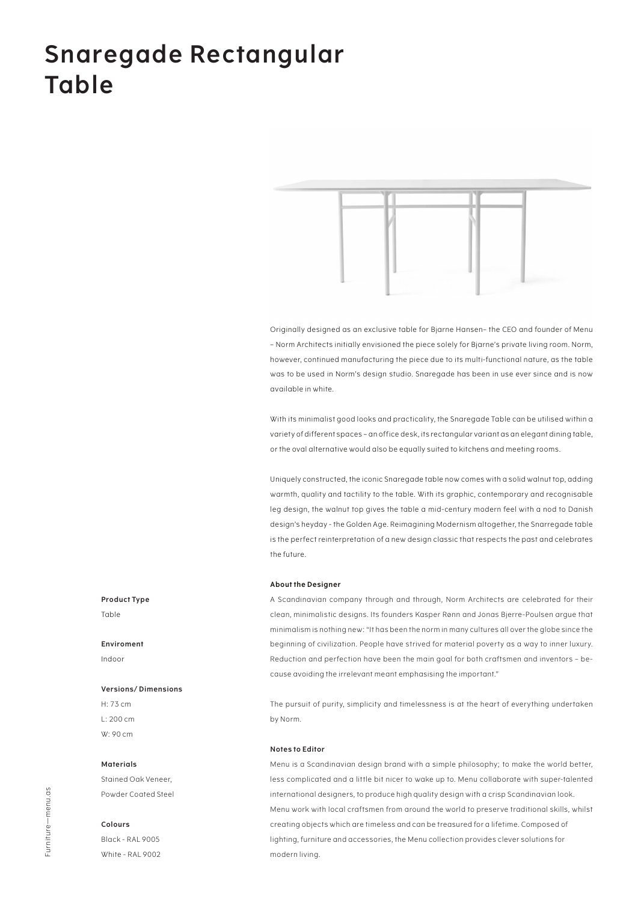# **Snaregade Rectangular Table**



Originally designed as an exclusive table for Bjarne Hansen– the CEO and founder of Menu – Norm Architects initially envisioned the piece solely for Bjarne's private living room. Norm, however, continued manufacturing the piece due to its multi-functional nature, as the table was to be used in Norm's design studio. Snaregade has been in use ever since and is now available in white.

With its minimalist good looks and practicality, the Snaregade Table can be utilised within a variety of different spaces – an office desk, its rectangular variant as an elegant dining table, or the oval alternative would also be equally suited to kitchens and meeting rooms.

Uniquely constructed, the iconic Snaregade table now comes with a solid walnut top, adding warmth, quality and tactility to the table. With its graphic, contemporary and recognisable leg design, the walnut top gives the table a mid-century modern feel with a nod to Danish design's heyday - the Golden Age. Reimagining Modernism altogether, the Snarregade table is the perfect reinterpretation of a new design classic that respects the past and celebrates the future.

#### **About the Designer**

A Scandinavian company through and through, Norm Architects are celebrated for their clean, minimalistic designs. Its founders Kasper Rønn and Jonas Bjerre-Poulsen argue that minimalism is nothing new: "It has been the norm in many cultures all over the globe since the beginning of civilization. People have strived for material poverty as a way to inner luxury. Reduction and perfection have been the main goal for both craftsmen and inventors – because avoiding the irrelevant meant emphasising the important."

The pursuit of purity, simplicity and timelessness is at the heart of everything undertaken by Norm.

#### **Notes to Editor**

Menu is a Scandinavian design brand with a simple philosophy; to make the world better, less complicated and a little bit nicer to wake up to. Menu collaborate with super-talented international designers, to produce high quality design with a crisp Scandinavian look. Menu work with local craftsmen from around the world to preserve traditional skills, whilst creating objects which are timeless and can be treasured for a lifetime. Composed of lighting, furniture and accessories, the Menu collection provides clever solutions for modern living.

### **Product Type**

Table

#### **Enviroment**

Indoor

### **Versions/ Dimensions**

H: 73 cm L: 200 cm W: 90 cm

#### **Materials**

Stained Oak Veneer, Powder Coated Steel

## **Colours**

Black - RAL 9005 White - RAL 9002